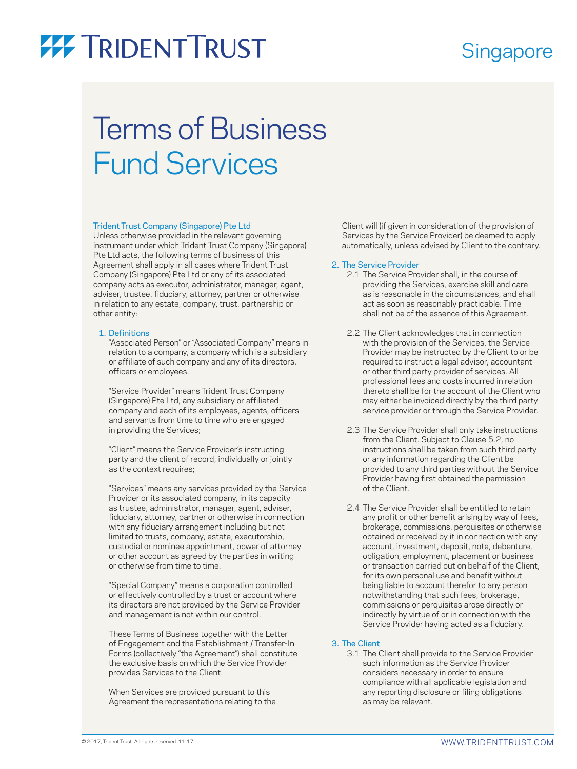### **Singapore**

## Terms of Business Fund Services

#### Trident Trust Company (Singapore) Pte Ltd

Unless otherwise provided in the relevant governing instrument under which Trident Trust Company (Singapore) Pte Ltd acts, the following terms of business of this Agreement shall apply in all cases where Trident Trust Company (Singapore) Pte Ltd or any of its associated company acts as executor, administrator, manager, agent, adviser, trustee, fiduciary, attorney, partner or otherwise in relation to any estate, company, trust, partnership or other entity:

#### 1. Definitions

 "Associated Person" or "Associated Company" means in relation to a company, a company which is a subsidiary or affiliate of such company and any of its directors, officers or employees.

 "Service Provider" means Trident Trust Company (Singapore) Pte Ltd, any subsidiary or affiliated company and each of its employees, agents, officers and servants from time to time who are engaged in providing the Services;

 "Client" means the Service Provider's instructing party and the client of record, individually or jointly as the context requires;

 "Services" means any services provided by the Service Provider or its associated company, in its capacity as trustee, administrator, manager, agent, adviser, fiduciary, attorney, partner or otherwise in connection with any fiduciary arrangement including but not limited to trusts, company, estate, executorship, custodial or nominee appointment, power of attorney or other account as agreed by the parties in writing or otherwise from time to time.

 "Special Company" means a corporation controlled or effectively controlled by a trust or account where its directors are not provided by the Service Provider and management is not within our control.

 These Terms of Business together with the Letter of Engagement and the Establishment / Transfer-In Forms (collectively "the Agreement") shall constitute the exclusive basis on which the Service Provider provides Services to the Client.

 When Services are provided pursuant to this Agreement the representations relating to the Client will (if given in consideration of the provision of Services by the Service Provider) be deemed to apply automatically, unless advised by Client to the contrary.

#### 2. The Service Provider

- 2.1 The Service Provider shall, in the course of providing the Services, exercise skill and care as is reasonable in the circumstances, and shall act as soon as reasonably practicable. Time shall not be of the essence of this Agreement.
- 2.2 The Client acknowledges that in connection with the provision of the Services, the Service Provider may be instructed by the Client to or be required to instruct a legal advisor, accountant or other third party provider of services. All professional fees and costs incurred in relation thereto shall be for the account of the Client who may either be invoiced directly by the third party service provider or through the Service Provider.
- 2.3 The Service Provider shall only take instructions from the Client. Subject to Clause 5.2, no instructions shall be taken from such third party or any information regarding the Client be provided to any third parties without the Service Provider having first obtained the permission of the Client.
- 2.4 The Service Provider shall be entitled to retain any profit or other benefit arising by way of fees, brokerage, commissions, perquisites or otherwise obtained or received by it in connection with any account, investment, deposit, note, debenture, obligation, employment, placement or business or transaction carried out on behalf of the Client, for its own personal use and benefit without being liable to account therefor to any person notwithstanding that such fees, brokerage, commissions or perquisites arose directly or indirectly by virtue of or in connection with the Service Provider having acted as a fiduciary.

#### 3. The Client

 3.1 The Client shall provide to the Service Provider such information as the Service Provider considers necessary in order to ensure compliance with all applicable legislation and any reporting disclosure or filing obligations as may be relevant.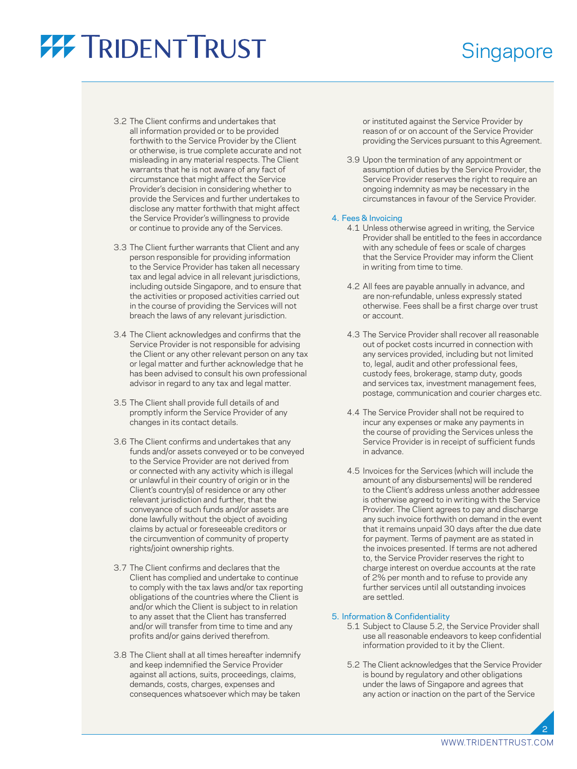### **Singapore**

- 3.2 The Client confirms and undertakes that all information provided or to be provided forthwith to the Service Provider by the Client or otherwise, is true complete accurate and not misleading in any material respects. The Client warrants that he is not aware of any fact of circumstance that might affect the Service Provider's decision in considering whether to provide the Services and further undertakes to disclose any matter forthwith that might affect the Service Provider's willingness to provide or continue to provide any of the Services.
- 3.3 The Client further warrants that Client and any person responsible for providing information to the Service Provider has taken all necessary tax and legal advice in all relevant jurisdictions, including outside Singapore, and to ensure that the activities or proposed activities carried out in the course of providing the Services will not breach the laws of any relevant jurisdiction.
- 3.4 The Client acknowledges and confirms that the Service Provider is not responsible for advising the Client or any other relevant person on any tax or legal matter and further acknowledge that he has been advised to consult his own professional advisor in regard to any tax and legal matter.
- 3.5 The Client shall provide full details of and promptly inform the Service Provider of any changes in its contact details.
- 3.6 The Client confirms and undertakes that any funds and/or assets conveyed or to be conveyed to the Service Provider are not derived from or connected with any activity which is illegal or unlawful in their country of origin or in the Client's country(s) of residence or any other relevant jurisdiction and further, that the conveyance of such funds and/or assets are done lawfully without the object of avoiding claims by actual or foreseeable creditors or the circumvention of community of property rights/joint ownership rights.
- 3.7 The Client confirms and declares that the Client has complied and undertake to continue to comply with the tax laws and/or tax reporting obligations of the countries where the Client is and/or which the Client is subject to in relation to any asset that the Client has transferred and/or will transfer from time to time and any profits and/or gains derived therefrom.
- 3.8 The Client shall at all times hereafter indemnify and keep indemnified the Service Provider against all actions, suits, proceedings, claims, demands, costs, charges, expenses and consequences whatsoever which may be taken

or instituted against the Service Provider by reason of or on account of the Service Provider providing the Services pursuant to this Agreement.

 3.9 Upon the termination of any appointment or assumption of duties by the Service Provider, the Service Provider reserves the right to require an ongoing indemnity as may be necessary in the circumstances in favour of the Service Provider.

#### 4. Fees & Invoicing

- 4.1 Unless otherwise agreed in writing, the Service Provider shall be entitled to the fees in accordance with any schedule of fees or scale of charges that the Service Provider may inform the Client in writing from time to time.
- 4.2 All fees are payable annually in advance, and are non-refundable, unless expressly stated otherwise. Fees shall be a first charge over trust or account.
- 4.3 The Service Provider shall recover all reasonable out of pocket costs incurred in connection with any services provided, including but not limited to, legal, audit and other professional fees, custody fees, brokerage, stamp duty, goods and services tax, investment management fees, postage, communication and courier charges etc.
- 4.4 The Service Provider shall not be required to incur any expenses or make any payments in the course of providing the Services unless the Service Provider is in receipt of sufficient funds in advance.
- 4.5 Invoices for the Services (which will include the amount of any disbursements) will be rendered to the Client's address unless another addressee is otherwise agreed to in writing with the Service Provider. The Client agrees to pay and discharge any such invoice forthwith on demand in the event that it remains unpaid 30 days after the due date for payment. Terms of payment are as stated in the invoices presented. If terms are not adhered to, the Service Provider reserves the right to charge interest on overdue accounts at the rate of 2% per month and to refuse to provide any further services until all outstanding invoices are settled.

#### 5. Information & Confidentiality

- 5.1 Subject to Clause 5.2, the Service Provider shall use all reasonable endeavors to keep confidential information provided to it by the Client.
- 5.2 The Client acknowledges that the Service Provider is bound by regulatory and other obligations under the laws of Singapore and agrees that any action or inaction on the part of the Service

2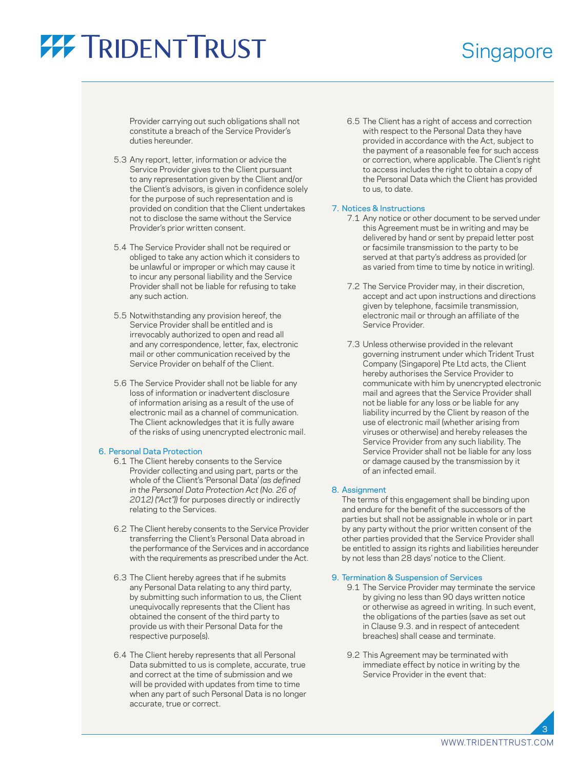Provider carrying out such obligations shall not constitute a breach of the Service Provider's duties hereunder.

- 5.3 Any report, letter, information or advice the Service Provider gives to the Client pursuant to any representation given by the Client and/or the Client's advisors, is given in confidence solely for the purpose of such representation and is provided on condition that the Client undertakes not to disclose the same without the Service Provider's prior written consent.
- 5.4 The Service Provider shall not be required or obliged to take any action which it considers to be unlawful or improper or which may cause it to incur any personal liability and the Service Provider shall not be liable for refusing to take any such action.
- 5.5 Notwithstanding any provision hereof, the Service Provider shall be entitled and is irrevocably authorized to open and read all and any correspondence, letter, fax, electronic mail or other communication received by the Service Provider on behalf of the Client.
- 5.6 The Service Provider shall not be liable for any loss of information or inadvertent disclosure of information arising as a result of the use of electronic mail as a channel of communication. The Client acknowledges that it is fully aware of the risks of using unencrypted electronic mail.

#### 6. Personal Data Protection

- 6.1 The Client hereby consents to the Service Provider collecting and using part, parts or the whole of the Client's 'Personal Data' *(as defined in the Personal Data Protection Act (No. 26 of 2012) ("Act"))* for purposes directly or indirectly relating to the Services.
- 6.2 The Client hereby consents to the Service Provider transferring the Client's Personal Data abroad in the performance of the Services and in accordance with the requirements as prescribed under the Act.
- 6.3 The Client hereby agrees that if he submits any Personal Data relating to any third party, by submitting such information to us, the Client unequivocally represents that the Client has obtained the consent of the third party to provide us with their Personal Data for the respective purpose(s).
- 6.4 The Client hereby represents that all Personal Data submitted to us is complete, accurate, true and correct at the time of submission and we will be provided with updates from time to time when any part of such Personal Data is no longer accurate, true or correct.

 6.5 The Client has a right of access and correction with respect to the Personal Data they have provided in accordance with the Act, subject to the payment of a reasonable fee for such access or correction, where applicable. The Client's right to access includes the right to obtain a copy of the Personal Data which the Client has provided to us, to date.

#### 7. Notices & Instructions

- 7.1 Any notice or other document to be served under this Agreement must be in writing and may be delivered by hand or sent by prepaid letter post or facsimile transmission to the party to be served at that party's address as provided (or as varied from time to time by notice in writing).
- 7.2 The Service Provider may, in their discretion, accept and act upon instructions and directions given by telephone, facsimile transmission, electronic mail or through an affiliate of the Service Provider.
- 7.3 Unless otherwise provided in the relevant governing instrument under which Trident Trust Company (Singapore) Pte Ltd acts, the Client hereby authorises the Service Provider to communicate with him by unencrypted electronic mail and agrees that the Service Provider shall not be liable for any loss or be liable for any liability incurred by the Client by reason of the use of electronic mail (whether arising from viruses or otherwise) and hereby releases the Service Provider from any such liability. The Service Provider shall not be liable for any loss or damage caused by the transmission by it of an infected email.

#### 8. Assignment

 The terms of this engagement shall be binding upon and endure for the benefit of the successors of the parties but shall not be assignable in whole or in part by any party without the prior written consent of the other parties provided that the Service Provider shall be entitled to assign its rights and liabilities hereunder by not less than 28 days' notice to the Client.

#### 9. Termination & Suspension of Services

- 9.1 The Service Provider may terminate the service by giving no less than 90 days written notice or otherwise as agreed in writing. In such event, the obligations of the parties (save as set out in Clause 9.3. and in respect of antecedent breaches) shall cease and terminate.
- 9.2 This Agreement may be terminated with immediate effect by notice in writing by the Service Provider in the event that:

#### [WWW.TRIDENTTRUST.COM](http://www.tridenttrust.com)

3

### **Singapore**